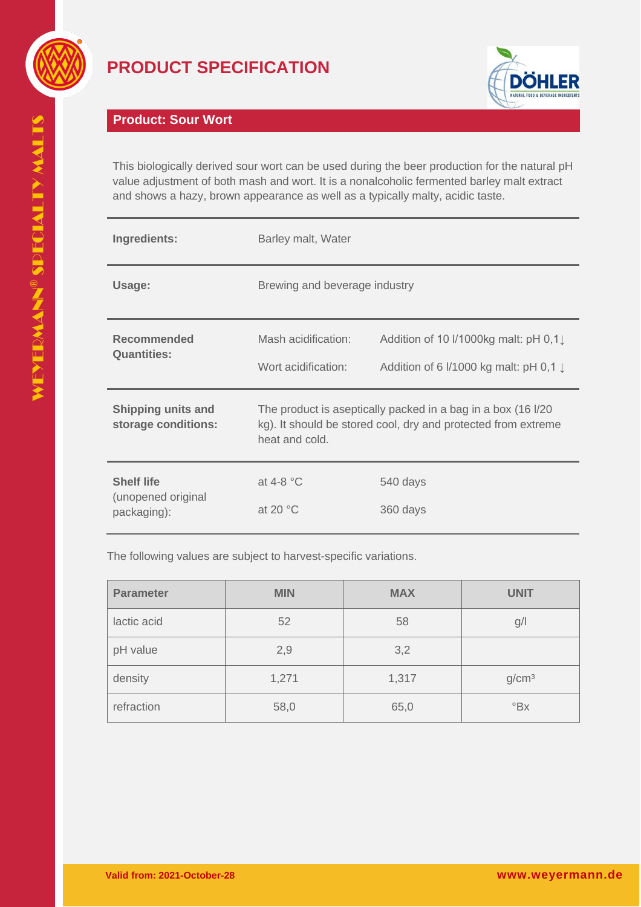

## **PRODUCT SPECIFICATION**



## **Product: Sour Wort**

This biologically derived sour wort can be used during the beer production for the natural pH value adjustment of both mash and wort. It is a nonalcoholic fermented barley malt extract and shows a hazy, brown appearance as well as a typically malty, acidic taste.

| Ingredients:                                           | Barley malt, Water                                                                                                                               |                                                                                             |
|--------------------------------------------------------|--------------------------------------------------------------------------------------------------------------------------------------------------|---------------------------------------------------------------------------------------------|
| Usage:                                                 | Brewing and beverage industry                                                                                                                    |                                                                                             |
| <b>Recommended</b><br><b>Quantities:</b>               | Mash acidification:<br>Wort acidification:                                                                                                       | Addition of 10 I/1000kg malt: pH 0,1<br>Addition of 6 $1/1000$ kg malt: pH 0,1 $\downarrow$ |
| <b>Shipping units and</b><br>storage conditions:       | The product is aseptically packed in a bag in a box (16 I/20)<br>kg). It should be stored cool, dry and protected from extreme<br>heat and cold. |                                                                                             |
| <b>Shelf life</b><br>(unopened original<br>packaging): | at 4-8 $^{\circ}$ C<br>at 20 $\degree$ C                                                                                                         | 540 days<br>360 days                                                                        |

The following values are subject to harvest-specific variations.

| <b>Parameter</b> | <b>MIN</b> | <b>MAX</b> | <b>UNIT</b>               |
|------------------|------------|------------|---------------------------|
| lactic acid      | 52         | 58         | g/                        |
| pH value         | 2,9        | 3,2        |                           |
| density          | 1,271      | 1,317      | g/cm <sup>3</sup>         |
| refraction       | 58,0       | 65,0       | $\mathrm{P}_{\mathrm{B}}$ |